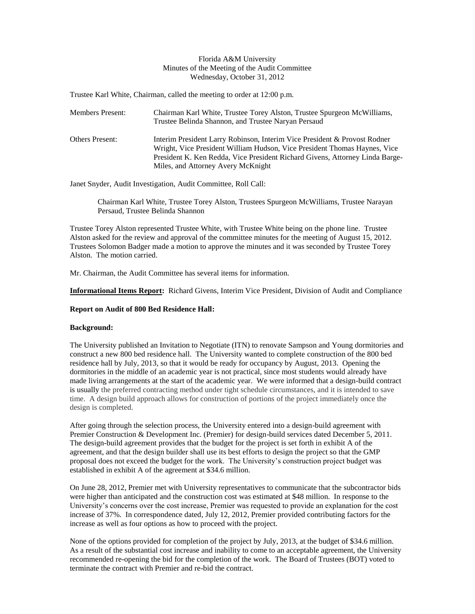## Florida A&M University Minutes of the Meeting of the Audit Committee Wednesday, October 31, 2012

Trustee Karl White, Chairman, called the meeting to order at 12:00 p.m.

| <b>Members Present:</b> | Chairman Karl White, Trustee Torey Alston, Trustee Spurgeon McWilliams,<br>Trustee Belinda Shannon, and Trustee Naryan Persaud                                                                                                                                               |
|-------------------------|------------------------------------------------------------------------------------------------------------------------------------------------------------------------------------------------------------------------------------------------------------------------------|
| <b>Others Present:</b>  | Interim President Larry Robinson, Interim Vice President & Provost Rodner<br>Wright, Vice President William Hudson, Vice President Thomas Haynes, Vice<br>President K. Ken Redda, Vice President Richard Givens, Attorney Linda Barge-<br>Miles, and Attorney Avery McKnight |

Janet Snyder, Audit Investigation, Audit Committee, Roll Call:

Chairman Karl White, Trustee Torey Alston, Trustees Spurgeon McWilliams, Trustee Narayan Persaud, Trustee Belinda Shannon

Trustee Torey Alston represented Trustee White, with Trustee White being on the phone line. Trustee Alston asked for the review and approval of the committee minutes for the meeting of August 15, 2012. Trustees Solomon Badger made a motion to approve the minutes and it was seconded by Trustee Torey Alston. The motion carried.

Mr. Chairman, the Audit Committee has several items for information.

**Informational Items Report:** Richard Givens, Interim Vice President, Division of Audit and Compliance

# **Report on Audit of 800 Bed Residence Hall:**

# **Background:**

The University published an Invitation to Negotiate (ITN) to renovate Sampson and Young dormitories and construct a new 800 bed residence hall. The University wanted to complete construction of the 800 bed residence hall by July, 2013, so that it would be ready for occupancy by August, 2013. Opening the dormitories in the middle of an academic year is not practical, since most students would already have made living arrangements at the start of the academic year. We were informed that a design-build contract is usually the preferred contracting method under tight schedule circumstances, and it is intended to save time. A design build approach allows for construction of portions of the project immediately once the design is completed.

After going through the selection process, the University entered into a design-build agreement with Premier Construction & Development Inc. (Premier) for design-build services dated December 5, 2011. The design-build agreement provides that the budget for the project is set forth in exhibit A of the agreement, and that the design builder shall use its best efforts to design the project so that the GMP proposal does not exceed the budget for the work. The University's construction project budget was established in exhibit A of the agreement at \$34.6 million.

On June 28, 2012, Premier met with University representatives to communicate that the subcontractor bids were higher than anticipated and the construction cost was estimated at \$48 million. In response to the University's concerns over the cost increase, Premier was requested to provide an explanation for the cost increase of 37%. In correspondence dated, July 12, 2012, Premier provided contributing factors for the increase as well as four options as how to proceed with the project.

None of the options provided for completion of the project by July, 2013, at the budget of \$34.6 million. As a result of the substantial cost increase and inability to come to an acceptable agreement, the University recommended re-opening the bid for the completion of the work. The Board of Trustees (BOT) voted to terminate the contract with Premier and re-bid the contract.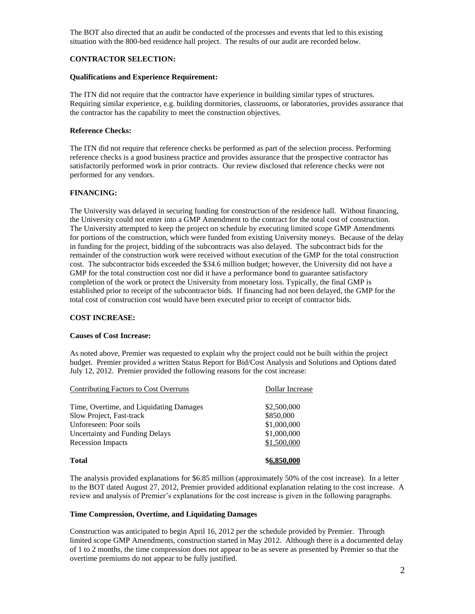The BOT also directed that an audit be conducted of the processes and events that led to this existing situation with the 800-bed residence hall project. The results of our audit are recorded below.

# **CONTRACTOR SELECTION:**

### **Qualifications and Experience Requirement:**

The ITN did not require that the contractor have experience in building similar types of structures. Requiring similar experience, e.g. building dormitories, classrooms, or laboratories, provides assurance that the contractor has the capability to meet the construction objectives.

## **Reference Checks:**

The ITN did not require that reference checks be performed as part of the selection process. Performing reference checks is a good business practice and provides assurance that the prospective contractor has satisfactorily performed work in prior contracts. Our review disclosed that reference checks were not performed for any vendors.

## **FINANCING:**

The University was delayed in securing funding for construction of the residence hall. Without financing, the University could not enter into a GMP Amendment to the contract for the total cost of construction. The University attempted to keep the project on schedule by executing limited scope GMP Amendments for portions of the construction, which were funded from existing University moneys. Because of the delay in funding for the project, bidding of the subcontracts was also delayed. The subcontract bids for the remainder of the construction work were received without execution of the GMP for the total construction cost. The subcontractor bids exceeded the \$34.6 million budget; however, the University did not have a GMP for the total construction cost nor did it have a performance bond to guarantee satisfactory completion of the work or protect the University from monetary loss. Typically, the final GMP is established prior to receipt of the subcontractor bids. If financing had not been delayed, the GMP for the total cost of construction cost would have been executed prior to receipt of contractor bids.

## **COST INCREASE:**

### **Causes of Cost Increase:**

As noted above, Premier was requested to explain why the project could not be built within the project budget. Premier provided a written Status Report for Bid/Cost Analysis and Solutions and Options dated July 12, 2012. Premier provided the following reasons for the cost increase:

| Contributing Factors to Cost Overruns   | Dollar Increase |
|-----------------------------------------|-----------------|
| Time, Overtime, and Liquidating Damages | \$2,500,000     |
| Slow Project, Fast-track                | \$850,000       |
| Unforeseen: Poor soils                  | \$1,000,000     |
| Uncertainty and Funding Delays          | \$1,000,000     |
| <b>Recession Impacts</b>                | \$1,500,000     |
| <b>Total</b>                            | \$6,850.000     |

The analysis provided explanations for \$6.85 million (approximately 50% of the cost increase). In a letter to the BOT dated August 27, 2012, Premier provided additional explanation relating to the cost increase. A review and analysis of Premier's explanations for the cost increase is given in the following paragraphs.

### **Time Compression, Overtime, and Liquidating Damages**

Construction was anticipated to begin April 16, 2012 per the schedule provided by Premier. Through limited scope GMP Amendments, construction started in May 2012. Although there is a documented delay of 1 to 2 months, the time compression does not appear to be as severe as presented by Premier so that the overtime premiums do not appear to be fully justified.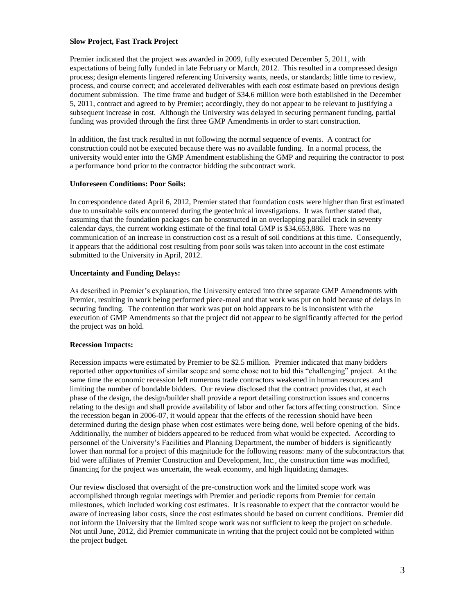## **Slow Project, Fast Track Project**

Premier indicated that the project was awarded in 2009, fully executed December 5, 2011, with expectations of being fully funded in late February or March, 2012. This resulted in a compressed design process; design elements lingered referencing University wants, needs, or standards; little time to review, process, and course correct; and accelerated deliverables with each cost estimate based on previous design document submission. The time frame and budget of \$34.6 million were both established in the December 5, 2011, contract and agreed to by Premier; accordingly, they do not appear to be relevant to justifying a subsequent increase in cost. Although the University was delayed in securing permanent funding, partial funding was provided through the first three GMP Amendments in order to start construction.

In addition, the fast track resulted in not following the normal sequence of events. A contract for construction could not be executed because there was no available funding. In a normal process, the university would enter into the GMP Amendment establishing the GMP and requiring the contractor to post a performance bond prior to the contractor bidding the subcontract work.

## **Unforeseen Conditions: Poor Soils:**

In correspondence dated April 6, 2012, Premier stated that foundation costs were higher than first estimated due to unsuitable soils encountered during the geotechnical investigations. It was further stated that, assuming that the foundation packages can be constructed in an overlapping parallel track in seventy calendar days, the current working estimate of the final total GMP is \$34,653,886. There was no communication of an increase in construction cost as a result of soil conditions at this time. Consequently, it appears that the additional cost resulting from poor soils was taken into account in the cost estimate submitted to the University in April, 2012.

# **Uncertainty and Funding Delays:**

As described in Premier's explanation, the University entered into three separate GMP Amendments with Premier, resulting in work being performed piece-meal and that work was put on hold because of delays in securing funding. The contention that work was put on hold appears to be is inconsistent with the execution of GMP Amendments so that the project did not appear to be significantly affected for the period the project was on hold.

## **Recession Impacts:**

Recession impacts were estimated by Premier to be \$2.5 million. Premier indicated that many bidders reported other opportunities of similar scope and some chose not to bid this "challenging" project. At the same time the economic recession left numerous trade contractors weakened in human resources and limiting the number of bondable bidders. Our review disclosed that the contract provides that, at each phase of the design, the design/builder shall provide a report detailing construction issues and concerns relating to the design and shall provide availability of labor and other factors affecting construction. Since the recession began in 2006-07, it would appear that the effects of the recession should have been determined during the design phase when cost estimates were being done, well before opening of the bids. Additionally, the number of bidders appeared to be reduced from what would be expected. According to personnel of the University's Facilities and Planning Department, the number of bidders is significantly lower than normal for a project of this magnitude for the following reasons: many of the subcontractors that bid were affiliates of Premier Construction and Development, Inc., the construction time was modified, financing for the project was uncertain, the weak economy, and high liquidating damages.

Our review disclosed that oversight of the pre-construction work and the limited scope work was accomplished through regular meetings with Premier and periodic reports from Premier for certain milestones, which included working cost estimates. It is reasonable to expect that the contractor would be aware of increasing labor costs, since the cost estimates should be based on current conditions. Premier did not inform the University that the limited scope work was not sufficient to keep the project on schedule. Not until June, 2012, did Premier communicate in writing that the project could not be completed within the project budget.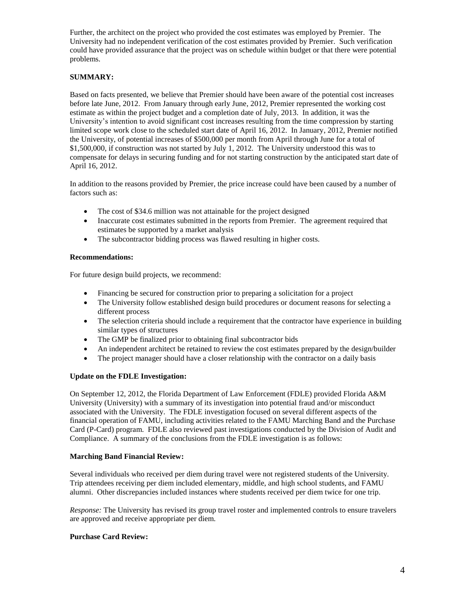Further, the architect on the project who provided the cost estimates was employed by Premier. The University had no independent verification of the cost estimates provided by Premier. Such verification could have provided assurance that the project was on schedule within budget or that there were potential problems.

# **SUMMARY:**

Based on facts presented, we believe that Premier should have been aware of the potential cost increases before late June, 2012. From January through early June, 2012, Premier represented the working cost estimate as within the project budget and a completion date of July, 2013. In addition, it was the University's intention to avoid significant cost increases resulting from the time compression by starting limited scope work close to the scheduled start date of April 16, 2012. In January, 2012, Premier notified the University, of potential increases of \$500,000 per month from April through June for a total of \$1,500,000, if construction was not started by July 1, 2012. The University understood this was to compensate for delays in securing funding and for not starting construction by the anticipated start date of April 16, 2012.

In addition to the reasons provided by Premier, the price increase could have been caused by a number of factors such as:

- The cost of \$34.6 million was not attainable for the project designed
- Inaccurate cost estimates submitted in the reports from Premier. The agreement required that estimates be supported by a market analysis
- The subcontractor bidding process was flawed resulting in higher costs.

## **Recommendations:**

For future design build projects, we recommend:

- Financing be secured for construction prior to preparing a solicitation for a project
- The University follow established design build procedures or document reasons for selecting a different process
- The selection criteria should include a requirement that the contractor have experience in building similar types of structures
- The GMP be finalized prior to obtaining final subcontractor bids
- An independent architect be retained to review the cost estimates prepared by the design/builder
- The project manager should have a closer relationship with the contractor on a daily basis

# **Update on the FDLE Investigation:**

On September 12, 2012, the Florida Department of Law Enforcement (FDLE) provided Florida A&M University (University) with a summary of its investigation into potential fraud and/or misconduct associated with the University. The FDLE investigation focused on several different aspects of the financial operation of FAMU, including activities related to the FAMU Marching Band and the Purchase Card (P-Card) program. FDLE also reviewed past investigations conducted by the Division of Audit and Compliance. A summary of the conclusions from the FDLE investigation is as follows:

### **Marching Band Financial Review:**

Several individuals who received per diem during travel were not registered students of the University. Trip attendees receiving per diem included elementary, middle, and high school students, and FAMU alumni. Other discrepancies included instances where students received per diem twice for one trip.

*Response:* The University has revised its group travel roster and implemented controls to ensure travelers are approved and receive appropriate per diem.

### **Purchase Card Review:**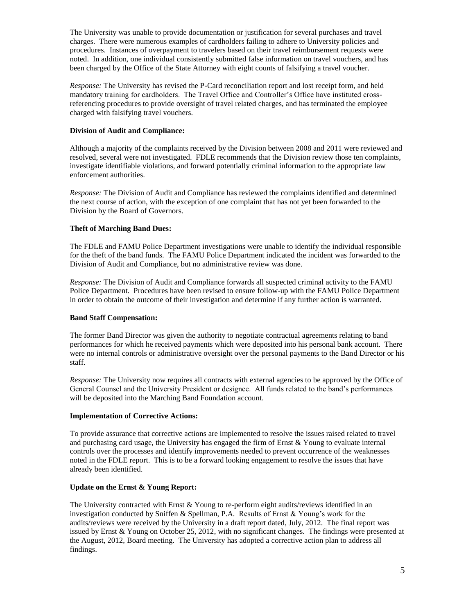The University was unable to provide documentation or justification for several purchases and travel charges. There were numerous examples of cardholders failing to adhere to University policies and procedures. Instances of overpayment to travelers based on their travel reimbursement requests were noted. In addition, one individual consistently submitted false information on travel vouchers, and has been charged by the Office of the State Attorney with eight counts of falsifying a travel voucher.

*Response:* The University has revised the P-Card reconciliation report and lost receipt form, and held mandatory training for cardholders. The Travel Office and Controller's Office have instituted crossreferencing procedures to provide oversight of travel related charges, and has terminated the employee charged with falsifying travel vouchers.

## **Division of Audit and Compliance:**

Although a majority of the complaints received by the Division between 2008 and 2011 were reviewed and resolved, several were not investigated. FDLE recommends that the Division review those ten complaints, investigate identifiable violations, and forward potentially criminal information to the appropriate law enforcement authorities.

*Response:* The Division of Audit and Compliance has reviewed the complaints identified and determined the next course of action, with the exception of one complaint that has not yet been forwarded to the Division by the Board of Governors.

# **Theft of Marching Band Dues:**

The FDLE and FAMU Police Department investigations were unable to identify the individual responsible for the theft of the band funds. The FAMU Police Department indicated the incident was forwarded to the Division of Audit and Compliance, but no administrative review was done.

*Response:* The Division of Audit and Compliance forwards all suspected criminal activity to the FAMU Police Department. Procedures have been revised to ensure follow-up with the FAMU Police Department in order to obtain the outcome of their investigation and determine if any further action is warranted.

# **Band Staff Compensation:**

The former Band Director was given the authority to negotiate contractual agreements relating to band performances for which he received payments which were deposited into his personal bank account. There were no internal controls or administrative oversight over the personal payments to the Band Director or his staff.

*Response:* The University now requires all contracts with external agencies to be approved by the Office of General Counsel and the University President or designee. All funds related to the band's performances will be deposited into the Marching Band Foundation account.

### **Implementation of Corrective Actions:**

To provide assurance that corrective actions are implemented to resolve the issues raised related to travel and purchasing card usage, the University has engaged the firm of Ernst  $&$  Young to evaluate internal controls over the processes and identify improvements needed to prevent occurrence of the weaknesses noted in the FDLE report. This is to be a forward looking engagement to resolve the issues that have already been identified.

### **Update on the Ernst & Young Report:**

The University contracted with Ernst  $&$  Young to re-perform eight audits/reviews identified in an investigation conducted by Sniffen & Spellman, P.A. Results of Ernst & Young's work for the audits/reviews were received by the University in a draft report dated, July, 2012. The final report was issued by Ernst & Young on October 25, 2012, with no significant changes. The findings were presented at the August, 2012, Board meeting. The University has adopted a corrective action plan to address all findings.